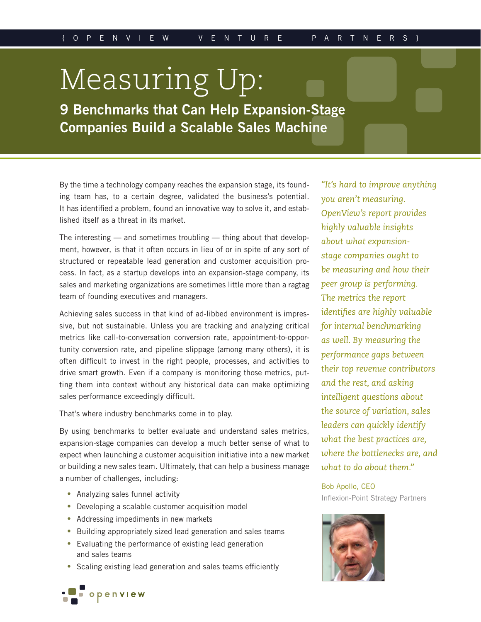# Measuring Up:

**9 Benchmarks that Can Help Expansion-Stage Companies Build a Scalable Sales Machine**

By the time a technology company reaches the expansion stage, its founding team has, to a certain degree, validated the business's potential. It has identified a problem, found an innovative way to solve it, and established itself as a threat in its market.

The interesting — and sometimes troubling — thing about that development, however, is that it often occurs in lieu of or in spite of any sort of structured or repeatable lead generation and customer acquisition process. In fact, as a startup develops into an expansion-stage company, its sales and marketing organizations are sometimes little more than a ragtag team of founding executives and managers.

Achieving sales success in that kind of ad-libbed environment is impressive, but not sustainable. Unless you are tracking and analyzing critical metrics like call-to-conversation conversion rate, appointment-to-opportunity conversion rate, and pipeline slippage (among many others), it is often difficult to invest in the right people, processes, and activities to drive smart growth. Even if a company is monitoring those metrics, putting them into context without any historical data can make optimizing sales performance exceedingly difficult.

That's where industry benchmarks come in to play.

By using benchmarks to better evaluate and understand sales metrics, expansion-stage companies can develop a much better sense of what to expect when launching a customer acquisition initiative into a new market or building a new sales team. Ultimately, that can help a business manage a number of challenges, including:

- Analyzing sales funnel activity
- Developing a scalable customer acquisition model
- Addressing impediments in new markets
- Building appropriately sized lead generation and sales teams
- Evaluating the performance of existing lead generation and sales teams
- Scaling existing lead generation and sales teams efficiently

*"It's hard to improve anything you aren't measuring. OpenView's report provides highly valuable insights about what expansionstage companies ought to be measuring and how their peer group is performing. The metrics the report identifies are highly valuable for internal benchmarking as well. By measuring the performance gaps between their top revenue contributors and the rest, and asking intelligent questions about the source of variation, sales leaders can quickly identify what the best practices are, where the bottlenecks are, and what to do about them."*

Bob Apollo, CEO [Inflexion-Point Strategy Partners](http://www.inflexion-point.com)



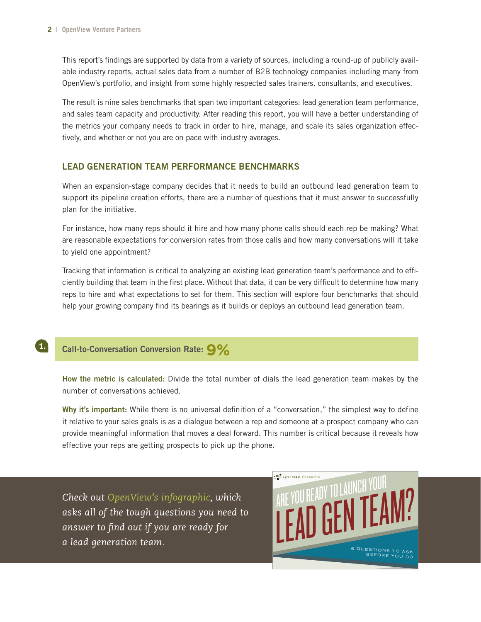This report's findings are supported by data from a variety of sources, including a round-up of publicly available industry reports, actual sales data from a number of B2B technology companies including many from OpenView's portfolio, and insight from some highly respected sales trainers, consultants, and executives.

The result is nine sales benchmarks that span two important categories: lead generation team performance, and sales team capacity and productivity. After reading this report, you will have a better understanding of the metrics your company needs to track in order to hire, manage, and scale its sales organization effectively, and whether or not you are on pace with industry averages.

### **LEAD GENERATION TEAM PERFORMANCE BENCHMARKS**

When an expansion-stage company decides that it needs to build an outbound lead generation team to support its pipeline creation efforts, there are a number of questions that it must answer to successfully plan for the initiative.

For instance, how many reps should it hire and how many phone calls should each rep be making? What are reasonable expectations for conversion rates from those calls and how many conversations will it take to yield one appointment?

Tracking that information is critical to analyzing an existing lead generation team's performance and to efficiently building that team in the first place. Without that data, it can be very difficult to determine how many reps to hire and what expectations to set for them. This section will explore four benchmarks that should help your growing company find its bearings as it builds or deploys an outbound lead generation team.

## **Call-to-Conversation Conversion Rate: 9%**

1.

**How the metric is calculated:** Divide the total number of dials the lead generation team makes by the number of conversations achieved.

**Why it's important:** While there is no universal definition of a "conversation," the simplest way to define it relative to your sales goals is as a dialogue between a rep and someone at a prospect company who can provide meaningful information that moves a deal forward. This number is critical because it reveals how effective your reps are getting prospects to pick up the phone.

*Check out [OpenView's infographic,](http://labs.openviewpartners.com/lead-generation-team-infographic/) which asks all of the tough questions you need to answer to find out if you are ready for a lead generation team.*

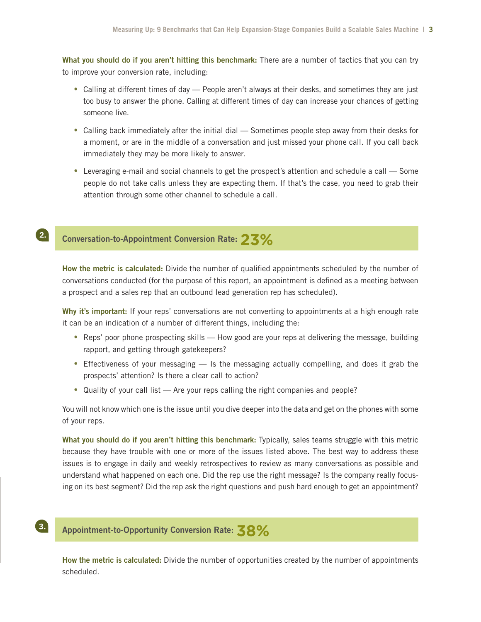**What you should do if you aren't hitting this benchmark:** There are a number of tactics that you can try to improve your conversion rate, including:

- Calling at different times of day People aren't always at their desks, and sometimes they are just too busy to answer the phone. Calling at different times of day can increase your chances of getting someone live.
- Calling back immediately after the initial dial Sometimes people step away from their desks for a moment, or are in the middle of a conversation and just missed your phone call. If you call back immediately they may be more likely to answer.
- Leveraging e-mail and social channels to get the prospect's attention and schedule a call Some people do not take calls unless they are expecting them. If that's the case, you need to grab their attention through some other channel to schedule a call.

#### **Conversation-to-Appointment Conversion Rate: 23%** 2.

**How the metric is calculated:** Divide the number of qualified appointments scheduled by the number of conversations conducted (for the purpose of this report, an appointment is defined as a meeting between a prospect and a sales rep that an outbound lead generation rep has scheduled).

Why it's important: If your reps' conversations are not converting to appointments at a high enough rate it can be an indication of a number of different things, including the:

- Reps' poor phone prospecting skills How good are your reps at delivering the message, building rapport, and getting through gatekeepers?
- Effectiveness of your messaging Is the messaging actually compelling, and does it grab the prospects' attention? Is there a clear call to action?
- Quality of your call list Are your reps calling the right companies and people?

You will not know which one is the issue until you dive deeper into the data and get on the phones with some of your reps.

**What you should do if you aren't hitting this benchmark:** Typically, sales teams struggle with this metric because they have trouble with one or more of the issues listed above. The best way to address these issues is to engage in daily and weekly retrospectives to review as many conversations as possible and understand what happened on each one. Did the rep use the right message? Is the company really focusing on its best segment? Did the rep ask the right questions and push hard enough to get an appointment?

## **Appointment-to-Opportunity Conversion Rate: 38%**

**How the metric is calculated:** Divide the number of opportunities created by the number of appointments scheduled.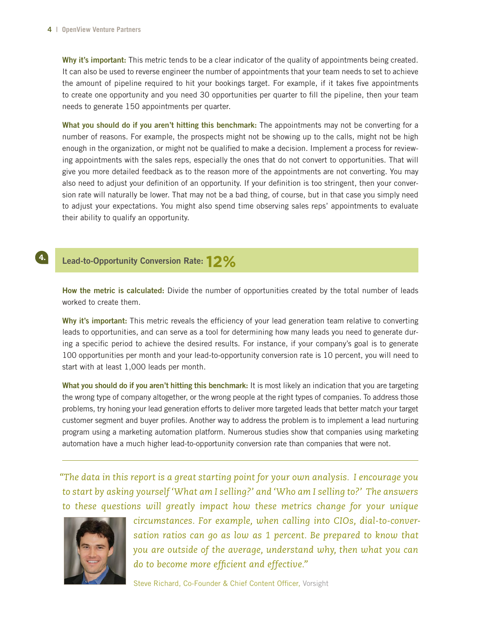4.

**Why it's important:** This metric tends to be a clear indicator of the quality of appointments being created. It can also be used to reverse engineer the number of appointments that your team needs to set to achieve the amount of pipeline required to hit your bookings target. For example, if it takes five appointments to create one opportunity and you need 30 opportunities per quarter to fill the pipeline, then your team needs to generate 150 appointments per quarter.

**What you should do if you aren't hitting this benchmark:** The appointments may not be converting for a number of reasons. For example, the prospects might not be showing up to the calls, might not be high enough in the organization, or might not be qualified to make a decision. Implement a process for reviewing appointments with the sales reps, especially the ones that do not convert to opportunities. That will give you more detailed feedback as to the reason more of the appointments are not converting. You may also need to adjust your definition of an opportunity. If your definition is too stringent, then your conversion rate will naturally be lower. That may not be a bad thing, of course, but in that case you simply need to adjust your expectations. You might also spend time observing sales reps' appointments to evaluate their ability to qualify an opportunity.

# **Lead-to-Opportunity Conversion Rate: 12%**

**How the metric is calculated:** Divide the number of opportunities created by the total number of leads worked to create them.

**Why it's important:** This metric reveals the efficiency of your lead generation team relative to converting leads to opportunities, and can serve as a tool for determining how many leads you need to generate during a specific period to achieve the desired results. For instance, if your company's goal is to generate 100 opportunities per month and your lead-to-opportunity conversion rate is 10 percent, you will need to start with at least 1,000 leads per month.

**What you should do if you aren't hitting this benchmark:** It is most likely an indication that you are targeting the wrong type of company altogether, or the wrong people at the right types of companies. To address those problems, try honing your lead generation efforts to deliver more targeted leads that better match your target customer segment and buyer profiles. Another way to address the problem is to implement a lead nurturing program using a marketing automation platform. Numerous studies show that companies using marketing automation have a much higher lead-to-opportunity conversion rate than companies that were not.

*"The data in this report is a great starting point for your own analysis. I encourage you to start by asking yourself 'What am I selling?' and 'Who am I selling to?' The answers to these questions will greatly impact how these metrics change for your unique* 



*circumstances. For example, when calling into CIOs, dial-to-conversation ratios can go as low as 1 percent. Be prepared to know that you are outside of the average, understand why, then what you can do to become more efficient and effective."*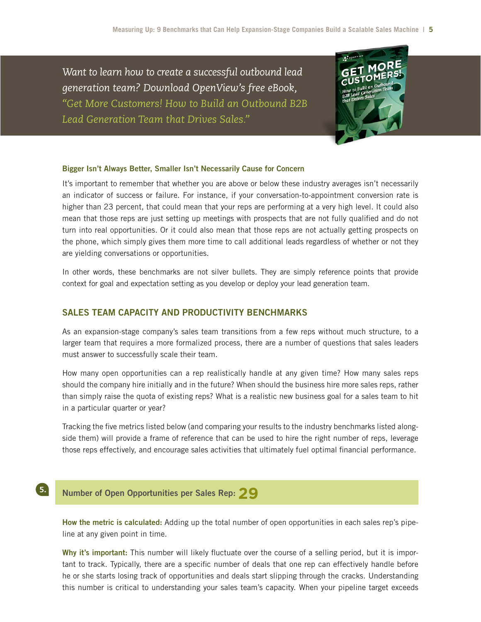*Want to learn how to create a successful outbound lead generation team? Download OpenView's free eBook, ["Get More Customers! How to Build an Outbound B2B](http://labs.openviewpartners.com/ebook/how-to-build-an-outbound-b2b-lead-generation-team-that-drives-sales/)  [Lead Generation Team that Drives Sales."](http://labs.openviewpartners.com/ebook/how-to-build-an-outbound-b2b-lead-generation-team-that-drives-sales/)*



#### **Bigger Isn't Always Better, Smaller Isn't Necessarily Cause for Concern**

It's important to remember that whether you are above or below these industry averages isn't necessarily an indicator of success or failure. For instance, if your conversation-to-appointment conversion rate is higher than 23 percent, that could mean that your reps are performing at a very high level. It could also mean that those reps are just setting up meetings with prospects that are not fully qualified and do not turn into real opportunities. Or it could also mean that those reps are not actually getting prospects on the phone, which simply gives them more time to call additional leads regardless of whether or not they are yielding conversations or opportunities.

In other words, these benchmarks are not silver bullets. They are simply reference points that provide context for goal and expectation setting as you develop or deploy your lead generation team.

## **SALES TEAM CAPACITY AND PRODUCTIVITY BENCHMARKS**

As an expansion-stage company's sales team transitions from a few reps without much structure, to a larger team that requires a more formalized process, there are a number of questions that sales leaders must answer to successfully scale their team.

How many open opportunities can a rep realistically handle at any given time? How many sales reps should the company hire initially and in the future? When should the business hire more sales reps, rather than simply raise the quota of existing reps? What is a realistic new business goal for a sales team to hit in a particular quarter or year?

Tracking the five metrics listed below (and comparing your results to the industry benchmarks listed alongside them) will provide a frame of reference that can be used to hire the right number of reps, leverage those reps effectively, and encourage sales activities that ultimately fuel optimal financial performance.

## **Number of Open Opportunities per Sales Rep: 29**

**How the metric is calculated:** Adding up the total number of open opportunities in each sales rep's pipeline at any given point in time.

**Why it's important:** This number will likely fluctuate over the course of a selling period, but it is important to track. Typically, there are a specific number of deals that one rep can effectively handle before he or she starts losing track of opportunities and deals start slipping through the cracks. Understanding this number is critical to understanding your sales team's capacity. When your pipeline target exceeds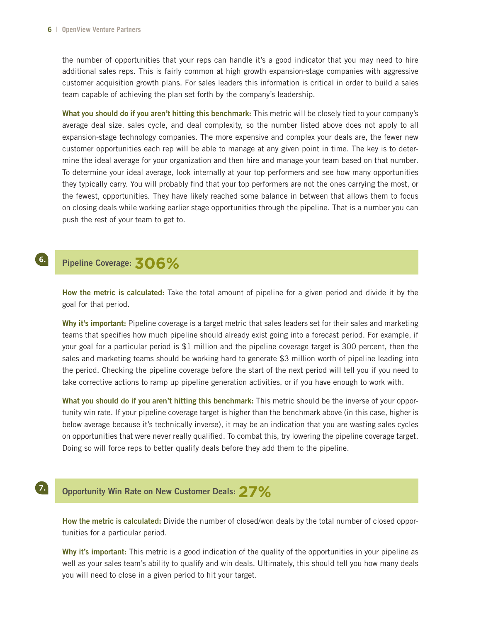the number of opportunities that your reps can handle it's a good indicator that you may need to hire additional sales reps. This is fairly common at high growth expansion-stage companies with aggressive customer acquisition growth plans. For sales leaders this information is critical in order to build a sales team capable of achieving the plan set forth by the company's leadership.

**What you should do if you aren't hitting this benchmark:** This metric will be closely tied to your company's average deal size, sales cycle, and deal complexity, so the number listed above does not apply to all expansion-stage technology companies. The more expensive and complex your deals are, the fewer new customer opportunities each rep will be able to manage at any given point in time. The key is to determine the ideal average for your organization and then hire and manage your team based on that number. To determine your ideal average, look internally at your top performers and see how many opportunities they typically carry. You will probably find that your top performers are not the ones carrying the most, or the fewest, opportunities. They have likely reached some balance in between that allows them to focus on closing deals while working earlier stage opportunities through the pipeline. That is a number you can push the rest of your team to get to.

# **Pipeline Coverage: 306%**

**How the metric is calculated:** Take the total amount of pipeline for a given period and divide it by the goal for that period.

**Why it's important:** Pipeline coverage is a target metric that sales leaders set for their sales and marketing teams that specifies how much pipeline should already exist going into a forecast period. For example, if your goal for a particular period is \$1 million and the pipeline coverage target is 300 percent, then the sales and marketing teams should be working hard to generate \$3 million worth of pipeline leading into the period. Checking the pipeline coverage before the start of the next period will tell you if you need to take corrective actions to ramp up pipeline generation activities, or if you have enough to work with.

**What you should do if you aren't hitting this benchmark:** This metric should be the inverse of your opportunity win rate. If your pipeline coverage target is higher than the benchmark above (in this case, higher is below average because it's technically inverse), it may be an indication that you are wasting sales cycles on opportunities that were never really qualified. To combat this, try lowering the pipeline coverage target. Doing so will force reps to better qualify deals before they add them to the pipeline.

## 7.

6.

## **Opportunity Win Rate on New Customer Deals: 27%**

**How the metric is calculated:** Divide the number of closed/won deals by the total number of closed opportunities for a particular period.

**Why it's important:** This metric is a good indication of the quality of the opportunities in your pipeline as well as your sales team's ability to qualify and win deals. Ultimately, this should tell you how many deals you will need to close in a given period to hit your target.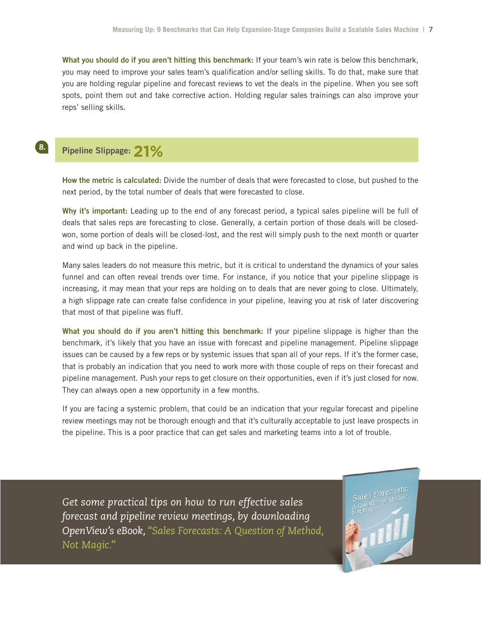**What you should do if you aren't hitting this benchmark:** If your team's win rate is below this benchmark, you may need to improve your sales team's qualification and/or selling skills. To do that, make sure that you are holding regular pipeline and forecast reviews to vet the deals in the pipeline. When you see soft spots, point them out and take corrective action. Holding regular sales trainings can also improve your reps' selling skills.

# **Pipeline Slippage: 21%**

 $\left( \begin{array}{c} 8 \end{array} \right)$ 

**How the metric is calculated:** Divide the number of deals that were forecasted to close, but pushed to the next period, by the total number of deals that were forecasted to close.

**Why it's important:** Leading up to the end of any forecast period, a typical sales pipeline will be full of deals that sales reps are forecasting to close. Generally, a certain portion of those deals will be closedwon, some portion of deals will be closed-lost, and the rest will simply push to the next month or quarter and wind up back in the pipeline.

Many sales leaders do not measure this metric, but it is critical to understand the dynamics of your sales funnel and can often reveal trends over time. For instance, if you notice that your pipeline slippage is increasing, it may mean that your reps are holding on to deals that are never going to close. Ultimately, a high slippage rate can create false confidence in your pipeline, leaving you at risk of later discovering that most of that pipeline was fluff.

**What you should do if you aren't hitting this benchmark:** If your pipeline slippage is higher than the benchmark, it's likely that you have an issue with forecast and pipeline management. Pipeline slippage issues can be caused by a few reps or by systemic issues that span all of your reps. If it's the former case, that is probably an indication that you need to work more with those couple of reps on their forecast and pipeline management. Push your reps to get closure on their opportunities, even if it's just closed for now. They can always open a new opportunity in a few months.

If you are facing a systemic problem, that could be an indication that your regular forecast and pipeline review meetings may not be thorough enough and that it's culturally acceptable to just leave prospects in the pipeline. This is a poor practice that can get sales and marketing teams into a lot of trouble.

*Get some practical tips on how to run effective sales forecast and pipeline review meetings, by downloading OpenView's eBook, "[Sales Forecasts: A Question of Method,](http://labs.openviewpartners.com/ebook/sales-forecasts/)  [Not Magic.](http://labs.openviewpartners.com/ebook/sales-forecasts/)"*

Sales Forecasts: es Forecastor<br>astion of Method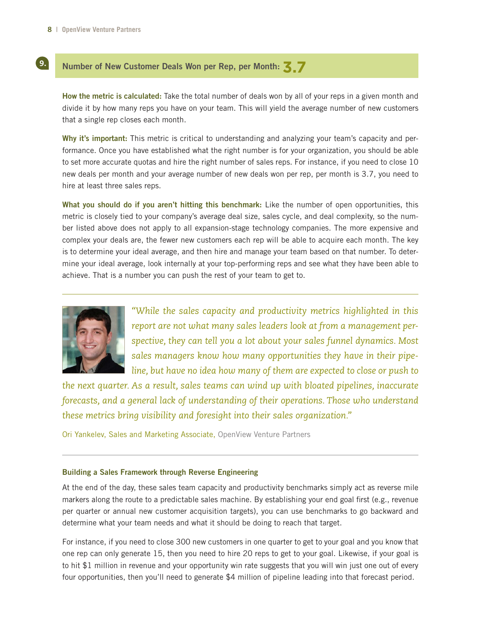9.

### **Number of New Customer Deals Won per Rep, per Month: 3.7**

**How the metric is calculated:** Take the total number of deals won by all of your reps in a given month and divide it by how many reps you have on your team. This will yield the average number of new customers that a single rep closes each month.

**Why it's important:** This metric is critical to understanding and analyzing your team's capacity and performance. Once you have established what the right number is for your organization, you should be able to set more accurate quotas and hire the right number of sales reps. For instance, if you need to close 10 new deals per month and your average number of new deals won per rep, per month is 3.7, you need to hire at least three sales reps.

**What you should do if you aren't hitting this benchmark:** Like the number of open opportunities, this metric is closely tied to your company's average deal size, sales cycle, and deal complexity, so the number listed above does not apply to all expansion-stage technology companies. The more expensive and complex your deals are, the fewer new customers each rep will be able to acquire each month. The key is to determine your ideal average, and then hire and manage your team based on that number. To determine your ideal average, look internally at your top-performing reps and see what they have been able to achieve. That is a number you can push the rest of your team to get to.



*"While the sales capacity and productivity metrics highlighted in this report are not what many sales leaders look at from a management perspective, they can tell you a lot about your sales funnel dynamics. Most sales managers know how many opportunities they have in their pipeline, but have no idea how many of them are expected to close or push to* 

*the next quarter. As a result, sales teams can wind up with bloated pipelines, inaccurate forecasts, and a general lack of understanding of their operations. Those who understand these metrics bring visibility and foresight into their sales organization."*

Ori Yankelev, Sales and Marketing Associate, [OpenView Venture Partners](http://www.openviewpartners.com)

#### **Building a Sales Framework through Reverse Engineering**

At the end of the day, these sales team capacity and productivity benchmarks simply act as reverse mile markers along the route to a predictable sales machine. By establishing your end goal first (e.g., revenue per quarter or annual new customer acquisition targets), you can use benchmarks to go backward and determine what your team needs and what it should be doing to reach that target.

For instance, if you need to close 300 new customers in one quarter to get to your goal and you know that one rep can only generate 15, then you need to hire 20 reps to get to your goal. Likewise, if your goal is to hit \$1 million in revenue and your opportunity win rate suggests that you will win just one out of every four opportunities, then you'll need to generate \$4 million of pipeline leading into that forecast period.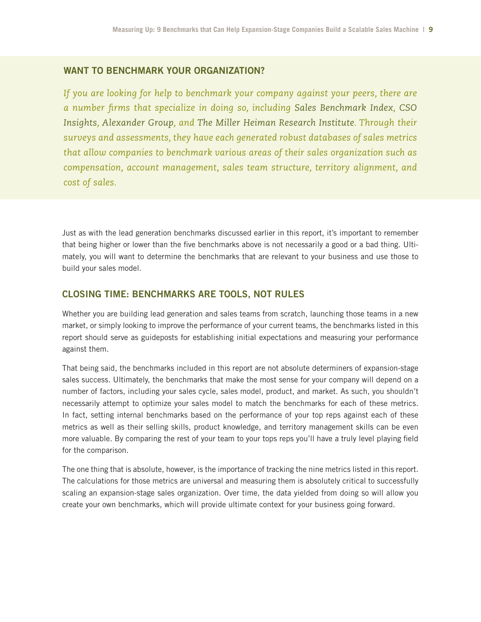## **WANT TO BENCHMARK YOUR ORGANIZATION?**

*If you are looking for help to benchmark your company against your peers, there are a number firms that specialize in doing so, including [Sales Benchmark Index,](http://www.salesbenchmarkindex.com) [CSO](http://www.csoinsights.com) [Insights,](http://www.csoinsights.com) [Alexander Group,](http://www.alexandergroup.com) and [The Miller Heiman Research Institute.](http://www.millerheiman.com/Research_Institute/) Through their surveys and assessments, they have each generated robust databases of sales metrics that allow companies to benchmark various areas of their sales organization such as compensation, account management, sales team structure, territory alignment, and cost of sales.*

Just as with the lead generation benchmarks discussed earlier in this report, it's important to remember that being higher or lower than the five benchmarks above is not necessarily a good or a bad thing. Ultimately, you will want to determine the benchmarks that are relevant to your business and use those to build your sales model.

## **CLOSING TIME: BENCHMARKS ARE TOOLS, NOT RULES**

Whether you are building lead generation and sales teams from scratch, launching those teams in a new market, or simply looking to improve the performance of your current teams, the benchmarks listed in this report should serve as guideposts for establishing initial expectations and measuring your performance against them.

That being said, the benchmarks included in this report are not absolute determiners of expansion-stage sales success. Ultimately, the benchmarks that make the most sense for your company will depend on a number of factors, including your sales cycle, sales model, product, and market. As such, you shouldn't necessarily attempt to optimize your sales model to match the benchmarks for each of these metrics. In fact, setting internal benchmarks based on the performance of your top reps against each of these metrics as well as their selling skills, product knowledge, and territory management skills can be even more valuable. By comparing the rest of your team to your tops reps you'll have a truly level playing field for the comparison.

The one thing that is absolute, however, is the importance of tracking the nine metrics listed in this report. The calculations for those metrics are universal and measuring them is absolutely critical to successfully scaling an expansion-stage sales organization. Over time, the data yielded from doing so will allow you create your own benchmarks, which will provide ultimate context for your business going forward.